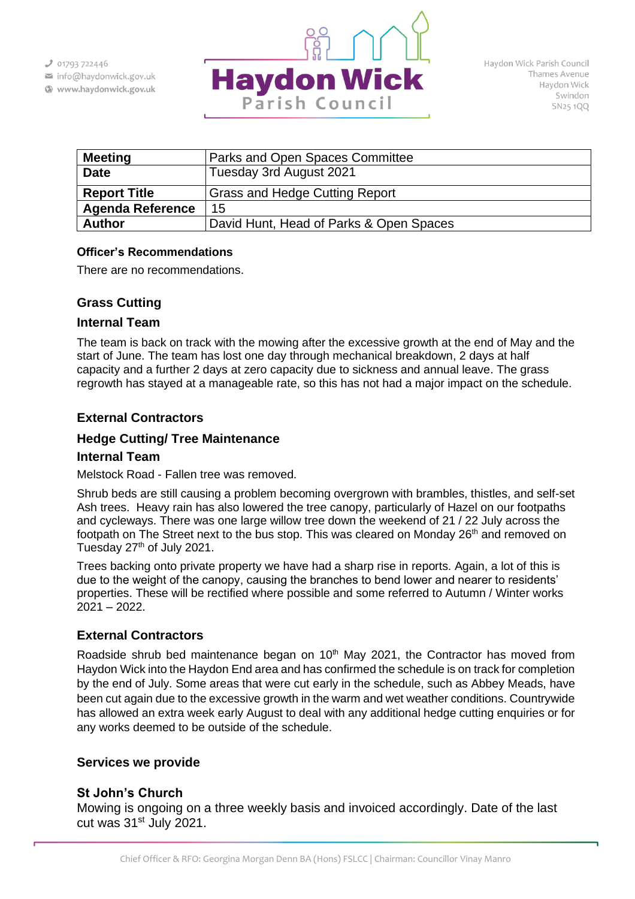- info@haydonwick.gov.uk
- Www.haydonwick.gov.uk



| <b>Meeting</b>          | Parks and Open Spaces Committee         |
|-------------------------|-----------------------------------------|
| <b>Date</b>             | Tuesday 3rd August 2021                 |
| <b>Report Title</b>     | <b>Grass and Hedge Cutting Report</b>   |
| <b>Agenda Reference</b> | 15                                      |
| <b>Author</b>           | David Hunt, Head of Parks & Open Spaces |

### **Officer's Recommendations**

There are no recommendations.

# **Grass Cutting**

### **Internal Team**

The team is back on track with the mowing after the excessive growth at the end of May and the start of June. The team has lost one day through mechanical breakdown, 2 days at half capacity and a further 2 days at zero capacity due to sickness and annual leave. The grass regrowth has stayed at a manageable rate, so this has not had a major impact on the schedule.

## **External Contractors**

## **Hedge Cutting/ Tree Maintenance**

#### **Internal Team**

Melstock Road - Fallen tree was removed.

Shrub beds are still causing a problem becoming overgrown with brambles, thistles, and self-set Ash trees. Heavy rain has also lowered the tree canopy, particularly of Hazel on our footpaths and cycleways. There was one large willow tree down the weekend of 21 / 22 July across the footpath on The Street next to the bus stop. This was cleared on Monday 26<sup>th</sup> and removed on Tuesday 27<sup>th</sup> of July 2021.

Trees backing onto private property we have had a sharp rise in reports. Again, a lot of this is due to the weight of the canopy, causing the branches to bend lower and nearer to residents' properties. These will be rectified where possible and some referred to Autumn / Winter works 2021 – 2022.

## **External Contractors**

Roadside shrub bed maintenance began on  $10<sup>th</sup>$  May 2021, the Contractor has moved from Haydon Wick into the Haydon End area and has confirmed the schedule is on track for completion by the end of July. Some areas that were cut early in the schedule, such as Abbey Meads, have been cut again due to the excessive growth in the warm and wet weather conditions. Countrywide has allowed an extra week early August to deal with any additional hedge cutting enquiries or for any works deemed to be outside of the schedule.

## **Services we provide**

## **St John's Church**

Mowing is ongoing on a three weekly basis and invoiced accordingly. Date of the last cut was 31<sup>st</sup> July 2021.